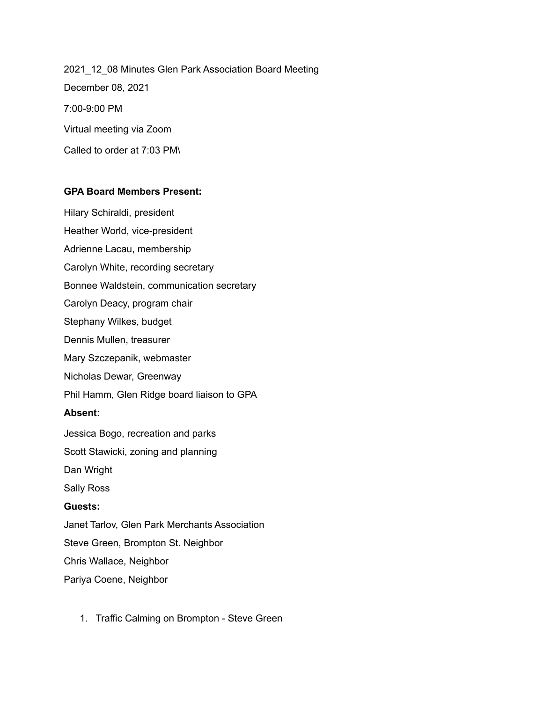2021\_12\_08 Minutes Glen Park Association Board Meeting December 08, 2021 7:00-9:00 PM Virtual meeting via Zoom Called to order at 7:03 PM\

## **GPA Board Members Present:**

Hilary Schiraldi, president Heather World, vice-president Adrienne Lacau, membership Carolyn White, recording secretary Bonnee Waldstein, communication secretary Carolyn Deacy, program chair Stephany Wilkes, budget Dennis Mullen, treasurer Mary Szczepanik, webmaster Nicholas Dewar, Greenway Phil Hamm, Glen Ridge board liaison to GPA **Absent:** Jessica Bogo, recreation and parks Scott Stawicki, zoning and planning Dan Wright Sally Ross **Guests:** Janet Tarlov, Glen Park Merchants Association Steve Green, Brompton St. Neighbor Chris Wallace, Neighbor Pariya Coene, Neighbor

1. Traffic Calming on Brompton - Steve Green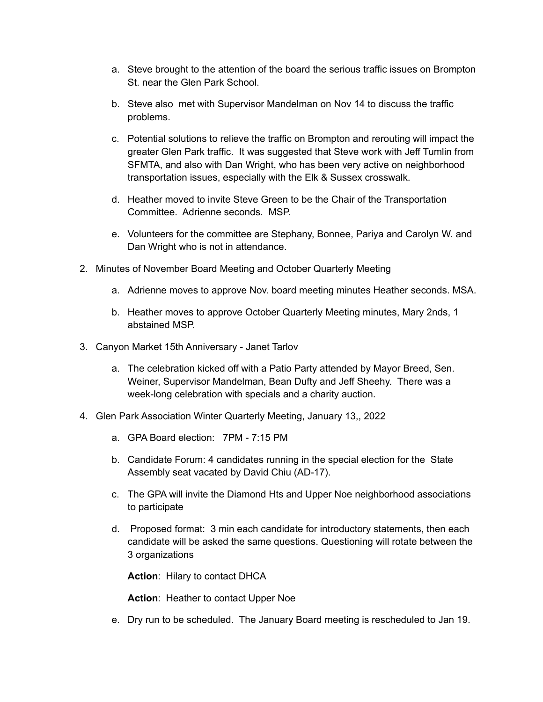- a. Steve brought to the attention of the board the serious traffic issues on Brompton St. near the Glen Park School.
- b. Steve also met with Supervisor Mandelman on Nov 14 to discuss the traffic problems.
- c. Potential solutions to relieve the traffic on Brompton and rerouting will impact the greater Glen Park traffic. It was suggested that Steve work with Jeff Tumlin from SFMTA, and also with Dan Wright, who has been very active on neighborhood transportation issues, especially with the Elk & Sussex crosswalk.
- d. Heather moved to invite Steve Green to be the Chair of the Transportation Committee. Adrienne seconds. MSP.
- e. Volunteers for the committee are Stephany, Bonnee, Pariya and Carolyn W. and Dan Wright who is not in attendance.
- 2. Minutes of November Board Meeting and October Quarterly Meeting
	- a. Adrienne moves to approve Nov. board meeting minutes Heather seconds. MSA.
	- b. Heather moves to approve October Quarterly Meeting minutes, Mary 2nds, 1 abstained MSP.
- 3. Canyon Market 15th Anniversary Janet Tarlov
	- a. The celebration kicked off with a Patio Party attended by Mayor Breed, Sen. Weiner, Supervisor Mandelman, Bean Dufty and Jeff Sheehy. There was a week-long celebration with specials and a charity auction.
- 4. Glen Park Association Winter Quarterly Meeting, January 13,, 2022
	- a. GPA Board election: 7PM 7:15 PM
	- b. Candidate Forum: 4 candidates running in the special election for the State Assembly seat vacated by David Chiu (AD-17).
	- c. The GPA will invite the Diamond Hts and Upper Noe neighborhood associations to participate
	- d. Proposed format: 3 min each candidate for introductory statements, then each candidate will be asked the same questions. Questioning will rotate between the 3 organizations

**Action**: Hilary to contact DHCA

**Action**: Heather to contact Upper Noe

e. Dry run to be scheduled. The January Board meeting is rescheduled to Jan 19.